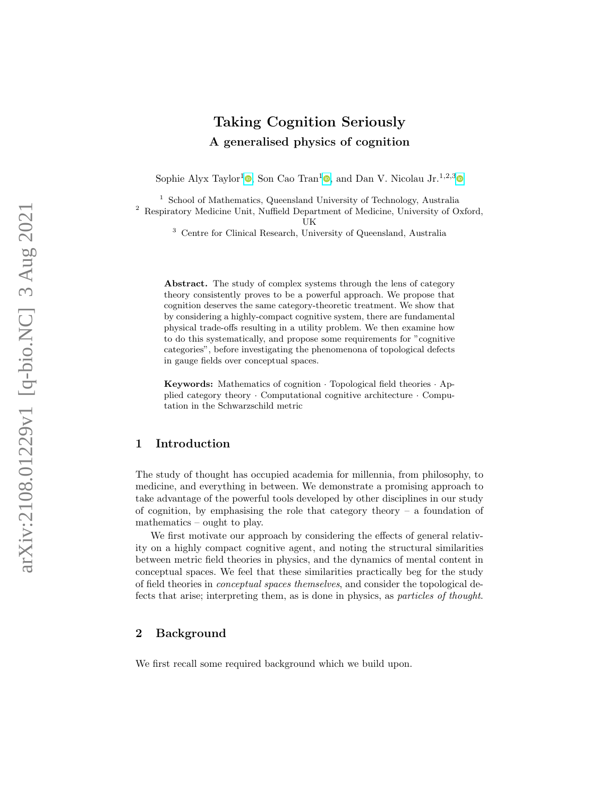# Taking Cognition Seriously A generalised physics of cognition

Sophie Alyx Taylor<sup>1</sup><sup>®</sup>[,](https://orcid.org/0000-0002-8034-107X) Son Cao Tran<sup>1</sup><sup>®</sup>, and Dan V. Nicolau Jr.<sup>1,2,[3](https://orcid.org/0000-0002-7758-226X)</sup>

<sup>1</sup> School of Mathematics, Queensland University of Technology, Australia

<sup>2</sup> Respiratory Medicine Unit, Nuffield Department of Medicine, University of Oxford,

UK

<sup>3</sup> Centre for Clinical Research, University of Queensland, Australia

Abstract. The study of complex systems through the lens of category theory consistently proves to be a powerful approach. We propose that cognition deserves the same category-theoretic treatment. We show that by considering a highly-compact cognitive system, there are fundamental physical trade-offs resulting in a utility problem. We then examine how to do this systematically, and propose some requirements for "cognitive categories", before investigating the phenomenona of topological defects in gauge fields over conceptual spaces.

Keywords: Mathematics of cognition · Topological field theories · Applied category theory · Computational cognitive architecture · Computation in the Schwarzschild metric

# 1 Introduction

The study of thought has occupied academia for millennia, from philosophy, to medicine, and everything in between. We demonstrate a promising approach to take advantage of the powerful tools developed by other disciplines in our study of cognition, by emphasising the role that category theory – a foundation of mathematics – ought to play.

We first motivate our approach by considering the effects of general relativity on a highly compact cognitive agent, and noting the structural similarities between metric field theories in physics, and the dynamics of mental content in conceptual spaces. We feel that these similarities practically beg for the study of field theories in conceptual spaces themselves, and consider the topological defects that arise; interpreting them, as is done in physics, as particles of thought.

# 2 Background

We first recall some required background which we build upon.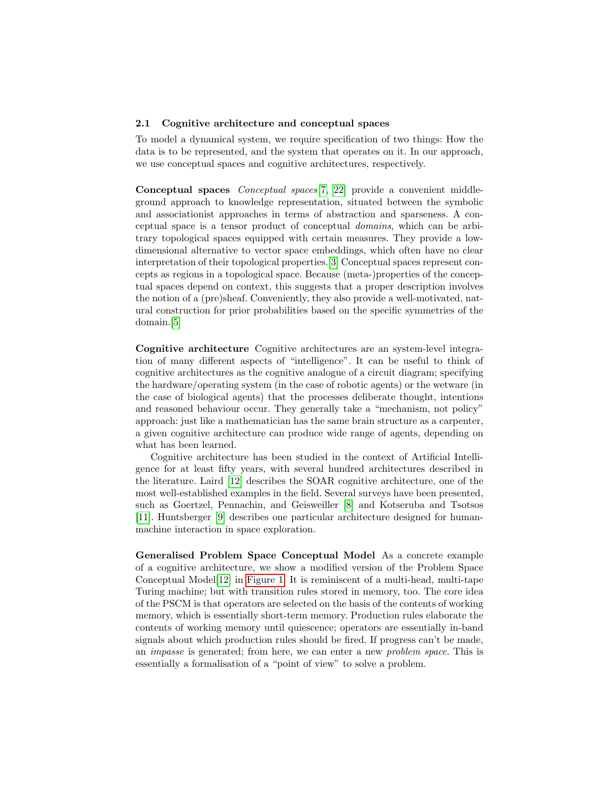#### <span id="page-1-0"></span>2.1 Cognitive architecture and conceptual spaces

To model a dynamical system, we require specification of two things: How the data is to be represented, and the system that operates on it. In our approach, we use conceptual spaces and cognitive architectures, respectively.

Conceptual spaces Conceptual spaces[\[7,](#page-13-0) [22\]](#page-13-1) provide a convenient middleground approach to knowledge representation, situated between the symbolic and associationist approaches in terms of abstraction and sparseness. A conceptual space is a tensor product of conceptual domains, which can be arbitrary topological spaces equipped with certain measures. They provide a lowdimensional alternative to vector space embeddings, which often have no clear interpretation of their topological properties.[\[3\]](#page-12-0) Conceptual spaces represent concepts as regions in a topological space. Because (meta-)properties of the conceptual spaces depend on context, this suggests that a proper description involves the notion of a (pre)sheaf. Conveniently, they also provide a well-motivated, natural construction for prior probabilities based on the specific symmetries of the domain.[\[5\]](#page-12-1)

Cognitive architecture Cognitive architectures are an system-level integration of many different aspects of "intelligence". It can be useful to think of cognitive architectures as the cognitive analogue of a circuit diagram; specifying the hardware/operating system (in the case of robotic agents) or the wetware (in the case of biological agents) that the processes deliberate thought, intentions and reasoned behaviour occur. They generally take a "mechanism, not policy" approach: just like a mathematician has the same brain structure as a carpenter, a given cognitive architecture can produce wide range of agents, depending on what has been learned.

Cognitive architecture has been studied in the context of Artificial Intelligence for at least fifty years, with several hundred architectures described in the literature. Laird [\[12\]](#page-13-2) describes the SOAR cognitive architecture, one of the most well-established examples in the field. Several surveys have been presented, such as Goertzel, Pennachin, and Geisweiller [\[8\]](#page-13-3) and Kotseruba and Tsotsos [\[11\]](#page-13-4). Huntsberger [\[9\]](#page-13-5) describes one particular architecture designed for humanmachine interaction in space exploration.

Generalised Problem Space Conceptual Model As a concrete example of a cognitive architecture, we show a modified version of the Problem Space Conceptual Model[\[12\]](#page-13-2) in [Figure 1.](#page-2-0) It is reminiscent of a multi-head, multi-tape Turing machine; but with transition rules stored in memory, too. The core idea of the PSCM is that operators are selected on the basis of the contents of working memory, which is essentially short-term memory. Production rules elaborate the contents of working memory until quiescence; operators are essentially in-band signals about which production rules should be fired. If progress can't be made, an impasse is generated; from here, we can enter a new problem space. This is essentially a formalisation of a "point of view" to solve a problem.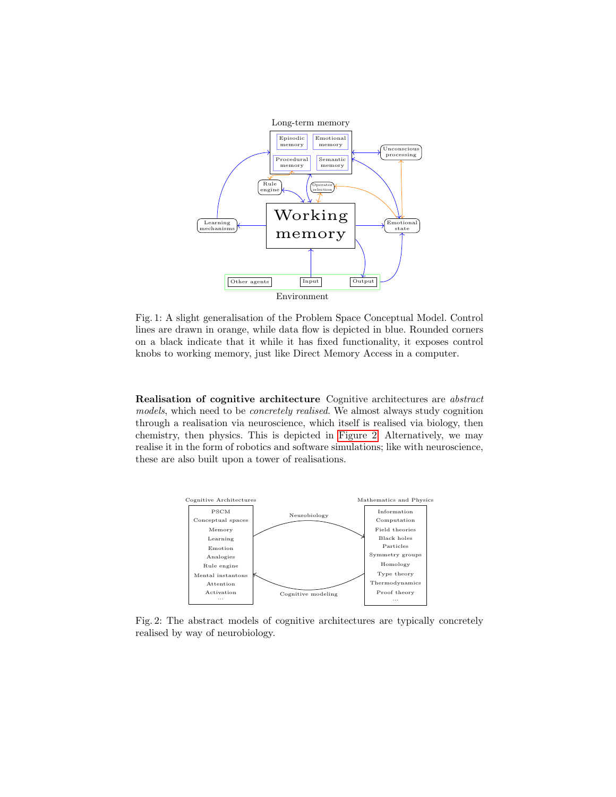<span id="page-2-0"></span>

Fig. 1: A slight generalisation of the Problem Space Conceptual Model. Control lines are drawn in orange, while data flow is depicted in blue. Rounded corners on a black indicate that it while it has fixed functionality, it exposes control knobs to working memory, just like Direct Memory Access in a computer.

Realisation of cognitive architecture Cognitive architectures are abstract models, which need to be *concretely realised*. We almost always study cognition through a realisation via neuroscience, which itself is realised via biology, then chemistry, then physics. This is depicted in [Figure 2.](#page-2-1) Alternatively, we may realise it in the form of robotics and software simulations; like with neuroscience, these are also built upon a tower of realisations.

<span id="page-2-1"></span>

Fig. 2: The abstract models of cognitive architectures are typically concretely realised by way of neurobiology.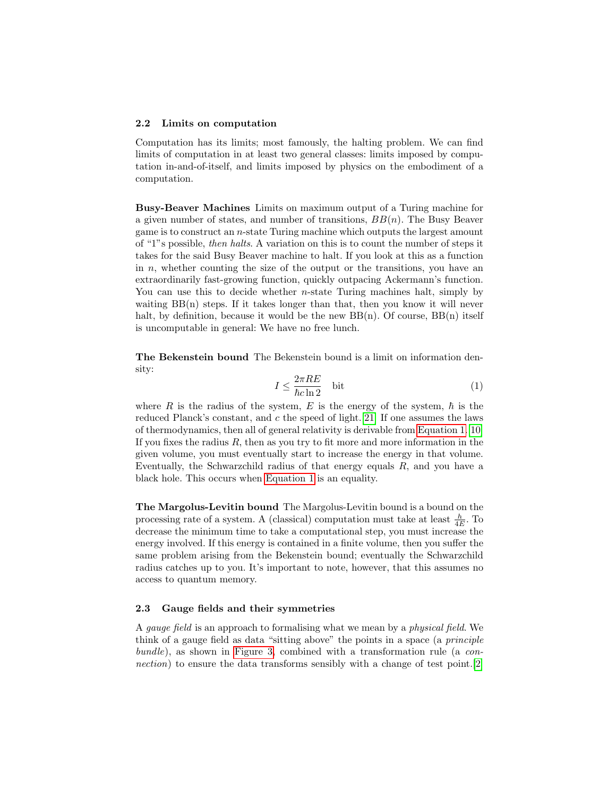#### <span id="page-3-1"></span>2.2 Limits on computation

Computation has its limits; most famously, the halting problem. We can find limits of computation in at least two general classes: limits imposed by computation in-and-of-itself, and limits imposed by physics on the embodiment of a computation.

Busy-Beaver Machines Limits on maximum output of a Turing machine for a given number of states, and number of transitions,  $BB(n)$ . The Busy Beaver game is to construct an n-state Turing machine which outputs the largest amount of "1"s possible, then halts. A variation on this is to count the number of steps it takes for the said Busy Beaver machine to halt. If you look at this as a function in  $n$ , whether counting the size of the output or the transitions, you have an extraordinarily fast-growing function, quickly outpacing Ackermann's function. You can use this to decide whether  $n$ -state Turing machines halt, simply by waiting  $BB(n)$  steps. If it takes longer than that, then you know it will never halt, by definition, because it would be the new  $BB(n)$ . Of course,  $BB(n)$  itself is uncomputable in general: We have no free lunch.

The Bekenstein bound The Bekenstein bound is a limit on information density:

<span id="page-3-0"></span>
$$
I \le \frac{2\pi RE}{\hbar c \ln 2} \quad \text{bit} \tag{1}
$$

where R is the radius of the system, E is the energy of the system,  $\hbar$  is the reduced Planck's constant, and  $c$  the speed of light. [\[21\]](#page-13-6) If one assumes the laws of thermodynamics, then all of general relativity is derivable from [Equation 1.](#page-3-0)[\[10\]](#page-13-7) If you fixes the radius  $R$ , then as you try to fit more and more information in the given volume, you must eventually start to increase the energy in that volume. Eventually, the Schwarzchild radius of that energy equals  $R$ , and you have a black hole. This occurs when [Equation 1](#page-3-0) is an equality.

The Margolus-Levitin bound The Margolus-Levitin bound is a bound on the processing rate of a system. A (classical) computation must take at least  $\frac{h}{4E}$ . To decrease the minimum time to take a computational step, you must increase the energy involved. If this energy is contained in a finite volume, then you suffer the same problem arising from the Bekenstein bound; eventually the Schwarzchild radius catches up to you. It's important to note, however, that this assumes no access to quantum memory.

## 2.3 Gauge fields and their symmetries

A gauge field is an approach to formalising what we mean by a physical field. We think of a gauge field as data "sitting above" the points in a space (a principle bundle), as shown in [Figure 3,](#page-4-0) combined with a transformation rule (a con-nection) to ensure the data transforms sensibly with a change of test point.<sup>[\[2\]](#page-12-2)</sup>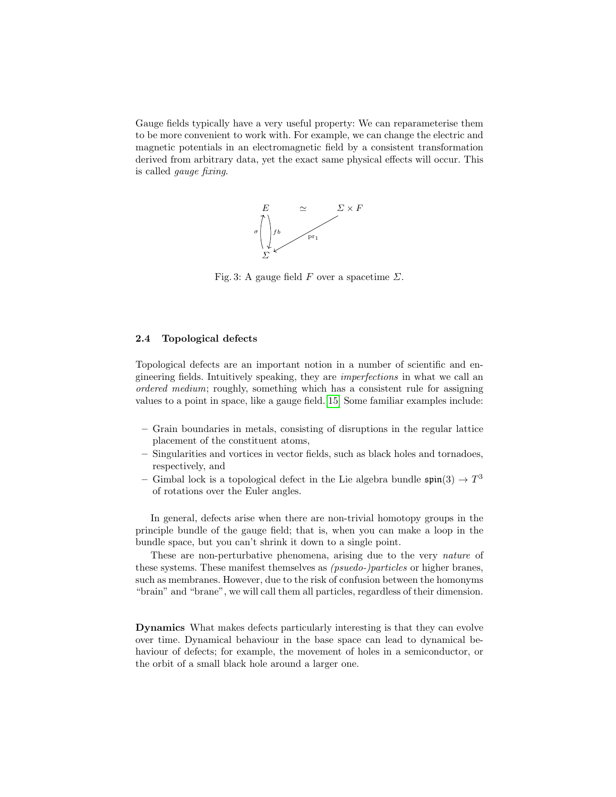<span id="page-4-1"></span><span id="page-4-0"></span>Gauge fields typically have a very useful property: We can reparameterise them to be more convenient to work with. For example, we can change the electric and magnetic potentials in an electromagnetic field by a consistent transformation derived from arbitrary data, yet the exact same physical effects will occur. This is called gauge fixing.



Fig. 3: A gauge field F over a spacetime  $\Sigma$ .

# 2.4 Topological defects

Topological defects are an important notion in a number of scientific and engineering fields. Intuitively speaking, they are imperfections in what we call an ordered medium; roughly, something which has a consistent rule for assigning values to a point in space, like a gauge field.[\[15\]](#page-13-8) Some familiar examples include:

- Grain boundaries in metals, consisting of disruptions in the regular lattice placement of the constituent atoms,
- Singularities and vortices in vector fields, such as black holes and tornadoes, respectively, and
- Gimbal lock is a topological defect in the Lie algebra bundle  $\mathfrak{spin}(3) \to T^3$ of rotations over the Euler angles.

In general, defects arise when there are non-trivial homotopy groups in the principle bundle of the gauge field; that is, when you can make a loop in the bundle space, but you can't shrink it down to a single point.

These are non-perturbative phenomena, arising due to the very nature of these systems. These manifest themselves as (psuedo-)particles or higher branes, such as membranes. However, due to the risk of confusion between the homonyms "brain" and "brane", we will call them all particles, regardless of their dimension.

Dynamics What makes defects particularly interesting is that they can evolve over time. Dynamical behaviour in the base space can lead to dynamical behaviour of defects; for example, the movement of holes in a semiconductor, or the orbit of a small black hole around a larger one.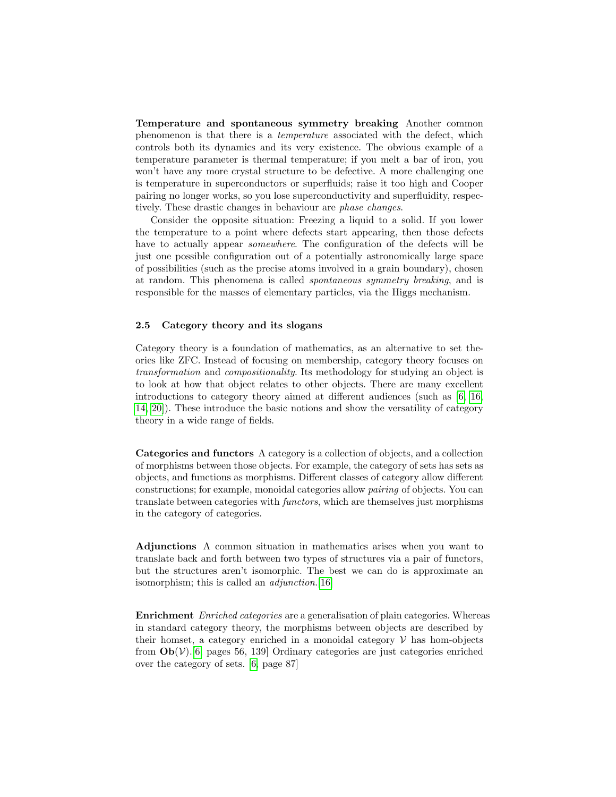<span id="page-5-0"></span>Temperature and spontaneous symmetry breaking Another common phenomenon is that there is a temperature associated with the defect, which controls both its dynamics and its very existence. The obvious example of a temperature parameter is thermal temperature; if you melt a bar of iron, you won't have any more crystal structure to be defective. A more challenging one is temperature in superconductors or superfluids; raise it too high and Cooper pairing no longer works, so you lose superconductivity and superfluidity, respectively. These drastic changes in behaviour are phase changes.

Consider the opposite situation: Freezing a liquid to a solid. If you lower the temperature to a point where defects start appearing, then those defects have to actually appear *somewhere*. The configuration of the defects will be just one possible configuration out of a potentially astronomically large space of possibilities (such as the precise atoms involved in a grain boundary), chosen at random. This phenomena is called spontaneous symmetry breaking, and is responsible for the masses of elementary particles, via the Higgs mechanism.

# 2.5 Category theory and its slogans

Category theory is a foundation of mathematics, as an alternative to set theories like ZFC. Instead of focusing on membership, category theory focuses on transformation and compositionality. Its methodology for studying an object is to look at how that object relates to other objects. There are many excellent introductions to category theory aimed at different audiences (such as [\[6,](#page-13-9) [16,](#page-13-10) [14,](#page-13-11) [20\]](#page-13-12)). These introduce the basic notions and show the versatility of category theory in a wide range of fields.

Categories and functors A category is a collection of objects, and a collection of morphisms between those objects. For example, the category of sets has sets as objects, and functions as morphisms. Different classes of category allow different constructions; for example, monoidal categories allow pairing of objects. You can translate between categories with functors, which are themselves just morphisms in the category of categories.

Adjunctions A common situation in mathematics arises when you want to translate back and forth between two types of structures via a pair of functors, but the structures aren't isomorphic. The best we can do is approximate an isomorphism; this is called an *adjunction*.[\[16\]](#page-13-10)

Enrichment Enriched categories are a generalisation of plain categories. Whereas in standard category theory, the morphisms between objects are described by their homset, a category enriched in a monoidal category  $\mathcal V$  has hom-objects from  $Ob(\mathcal{V})$ . [\[6,](#page-13-9) pages 56, 139] Ordinary categories are just categories enriched over the category of sets. [\[6,](#page-13-9) page 87]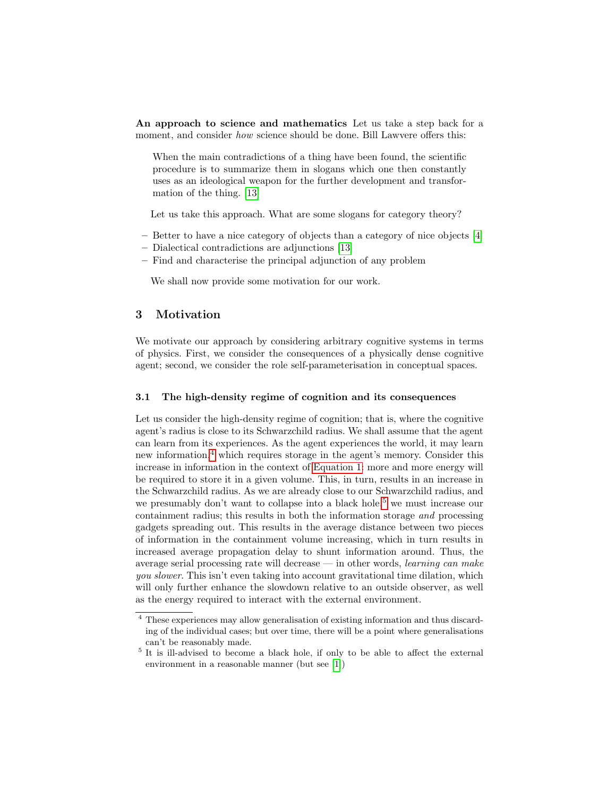<span id="page-6-2"></span>An approach to science and mathematics Let us take a step back for a moment, and consider *how* science should be done. Bill Lawvere offers this:

When the main contradictions of a thing have been found, the scientific procedure is to summarize them in slogans which one then constantly uses as an ideological weapon for the further development and transformation of the thing. [\[13\]](#page-13-13)

Let us take this approach. What are some slogans for category theory?

- Better to have a nice category of objects than a category of nice objects [\[4\]](#page-12-3)
- Dialectical contradictions are adjunctions [\[13\]](#page-13-13)
- Find and characterise the principal adjunction of any problem

We shall now provide some motivation for our work.

# 3 Motivation

We motivate our approach by considering arbitrary cognitive systems in terms of physics. First, we consider the consequences of a physically dense cognitive agent; second, we consider the role self-parameterisation in conceptual spaces.

#### 3.1 The high-density regime of cognition and its consequences

Let us consider the high-density regime of cognition; that is, where the cognitive agent's radius is close to its Schwarzchild radius. We shall assume that the agent can learn from its experiences. As the agent experiences the world, it may learn new information,<sup>[4](#page-6-0)</sup> which requires storage in the agent's memory. Consider this increase in information in the context of [Equation 1:](#page-3-0) more and more energy will be required to store it in a given volume. This, in turn, results in an increase in the Schwarzchild radius. As we are already close to our Schwarzchild radius, and we presumably don't want to collapse into a black hole,<sup>[5](#page-6-1)</sup> we must increase our containment radius; this results in both the information storage and processing gadgets spreading out. This results in the average distance between two pieces of information in the containment volume increasing, which in turn results in increased average propagation delay to shunt information around. Thus, the average serial processing rate will decrease — in other words, *learning can make* you slower. This isn't even taking into account gravitational time dilation, which will only further enhance the slowdown relative to an outside observer, as well as the energy required to interact with the external environment.

<span id="page-6-0"></span><sup>4</sup> These experiences may allow generalisation of existing information and thus discarding of the individual cases; but over time, there will be a point where generalisations can't be reasonably made.

<span id="page-6-1"></span><sup>&</sup>lt;sup>5</sup> It is ill-advised to become a black hole, if only to be able to affect the external environment in a reasonable manner (but see [\[1\]](#page-12-4))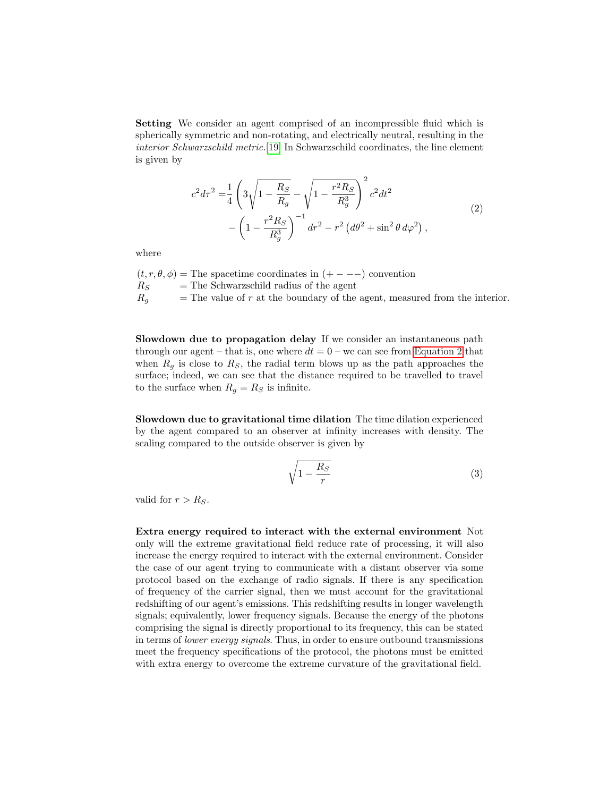<span id="page-7-1"></span>Setting We consider an agent comprised of an incompressible fluid which is spherically symmetric and non-rotating, and electrically neutral, resulting in the interior Schwarzschild metric.<sup>[\[19\]](#page-13-14)</sup> In Schwarzschild coordinates, the line element is given by

<span id="page-7-0"></span>
$$
c^{2}d\tau^{2} = \frac{1}{4} \left( 3\sqrt{1 - \frac{R_{S}}{R_{g}}} - \sqrt{1 - \frac{r^{2}R_{S}}{R_{g}^{3}}} \right)^{2} c^{2}dt^{2}
$$

$$
- \left( 1 - \frac{r^{2}R_{S}}{R_{g}^{3}} \right)^{-1} dr^{2} - r^{2} \left( d\theta^{2} + \sin^{2}\theta \, d\varphi^{2} \right), \tag{2}
$$

where

 $(t, r, \theta, \phi)$  = The spacetime coordinates in  $(+ - - -)$  convention  $R<sub>S</sub>$  = The Schwarzschild radius of the agent  $R_g$  = The value of r at the boundary of the agent, measured from the interior.

Slowdown due to propagation delay If we consider an instantaneous path through our agent – that is, one where  $dt = 0$  – we can see from [Equation 2](#page-7-0) that when  $R_g$  is close to  $R_S$ , the radial term blows up as the path approaches the surface; indeed, we can see that the distance required to be travelled to travel to the surface when  $R_g = R_S$  is infinite.

Slowdown due to gravitational time dilation The time dilation experienced by the agent compared to an observer at infinity increases with density. The scaling compared to the outside observer is given by

$$
\sqrt{1 - \frac{R_S}{r}}\tag{3}
$$

valid for  $r > R_S$ .

Extra energy required to interact with the external environment Not only will the extreme gravitational field reduce rate of processing, it will also increase the energy required to interact with the external environment. Consider the case of our agent trying to communicate with a distant observer via some protocol based on the exchange of radio signals. If there is any specification of frequency of the carrier signal, then we must account for the gravitational redshifting of our agent's emissions. This redshifting results in longer wavelength signals; equivalently, lower frequency signals. Because the energy of the photons comprising the signal is directly proportional to its frequency, this can be stated in terms of lower energy signals. Thus, in order to ensure outbound transmissions meet the frequency specifications of the protocol, the photons must be emitted with extra energy to overcome the extreme curvature of the gravitational field.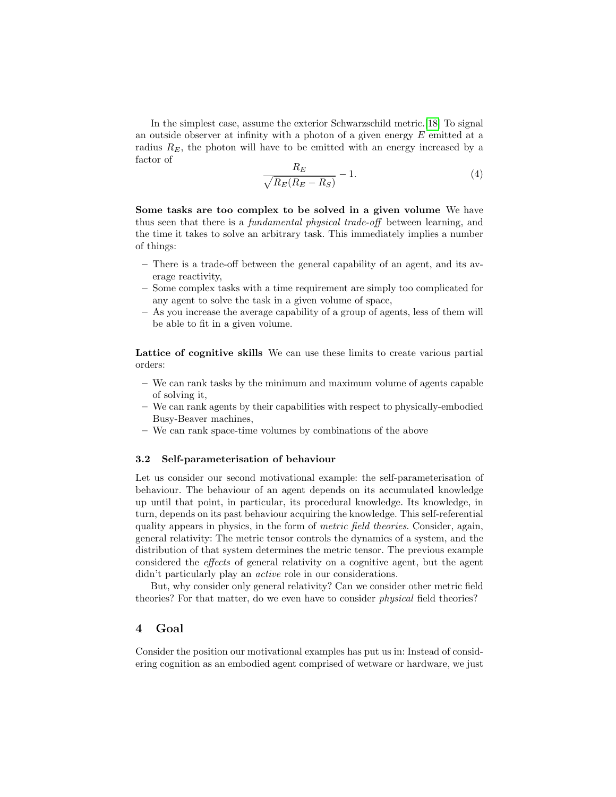<span id="page-8-0"></span>In the simplest case, assume the exterior Schwarzschild metric.<sup>[\[18\]](#page-13-15)</sup> To signal an outside observer at infinity with a photon of a given energy  $E$  emitted at a radius  $R_E$ , the photon will have to be emitted with an energy increased by a factor of

$$
\frac{R_E}{\sqrt{R_E(R_E - R_S)}} - 1.
$$
\n<sup>(4)</sup>

Some tasks are too complex to be solved in a given volume We have thus seen that there is a fundamental physical trade-off between learning, and the time it takes to solve an arbitrary task. This immediately implies a number of things:

- There is a trade-off between the general capability of an agent, and its average reactivity,
- Some complex tasks with a time requirement are simply too complicated for any agent to solve the task in a given volume of space,
- As you increase the average capability of a group of agents, less of them will be able to fit in a given volume.

Lattice of cognitive skills We can use these limits to create various partial orders:

- We can rank tasks by the minimum and maximum volume of agents capable of solving it,
- We can rank agents by their capabilities with respect to physically-embodied Busy-Beaver machines,
- We can rank space-time volumes by combinations of the above

## 3.2 Self-parameterisation of behaviour

Let us consider our second motivational example: the self-parameterisation of behaviour. The behaviour of an agent depends on its accumulated knowledge up until that point, in particular, its procedural knowledge. Its knowledge, in turn, depends on its past behaviour acquiring the knowledge. This self-referential quality appears in physics, in the form of metric field theories. Consider, again, general relativity: The metric tensor controls the dynamics of a system, and the distribution of that system determines the metric tensor. The previous example considered the effects of general relativity on a cognitive agent, but the agent didn't particularly play an *active* role in our considerations.

But, why consider only general relativity? Can we consider other metric field theories? For that matter, do we even have to consider physical field theories?

# 4 Goal

Consider the position our motivational examples has put us in: Instead of considering cognition as an embodied agent comprised of wetware or hardware, we just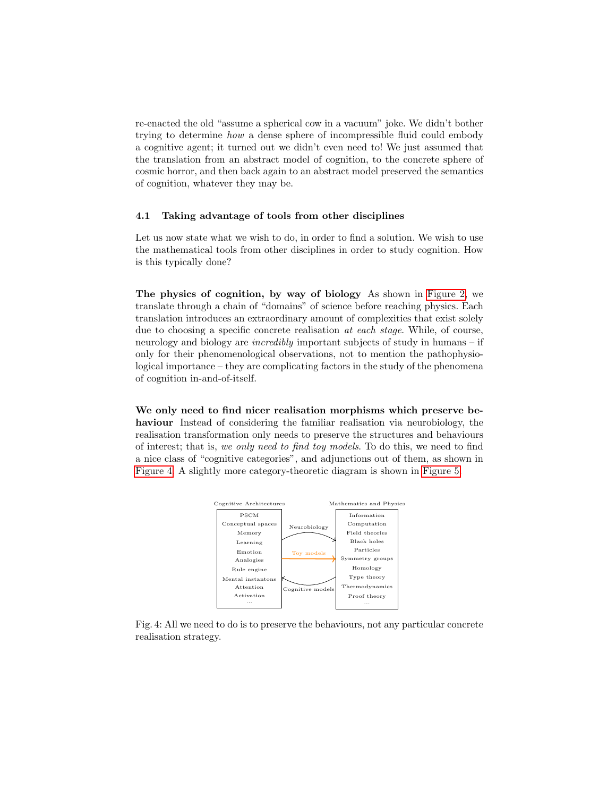re-enacted the old "assume a spherical cow in a vacuum" joke. We didn't bother trying to determine how a dense sphere of incompressible fluid could embody a cognitive agent; it turned out we didn't even need to! We just assumed that the translation from an abstract model of cognition, to the concrete sphere of cosmic horror, and then back again to an abstract model preserved the semantics of cognition, whatever they may be.

# 4.1 Taking advantage of tools from other disciplines

Let us now state what we wish to do, in order to find a solution. We wish to use the mathematical tools from other disciplines in order to study cognition. How is this typically done?

The physics of cognition, by way of biology As shown in [Figure 2,](#page-2-1) we translate through a chain of "domains" of science before reaching physics. Each translation introduces an extraordinary amount of complexities that exist solely due to choosing a specific concrete realisation at each stage. While, of course, neurology and biology are *incredibly* important subjects of study in humans – if only for their phenomenological observations, not to mention the pathophysiological importance – they are complicating factors in the study of the phenomena of cognition in-and-of-itself.

We only need to find nicer realisation morphisms which preserve behaviour Instead of considering the familiar realisation via neurobiology, the realisation transformation only needs to preserve the structures and behaviours of interest; that is, we only need to find toy models. To do this, we need to find a nice class of "cognitive categories", and adjunctions out of them, as shown in [Figure 4.](#page-9-0) A slightly more category-theoretic diagram is shown in [Figure 5.](#page-10-0)

<span id="page-9-0"></span>

Fig. 4: All we need to do is to preserve the behaviours, not any particular concrete realisation strategy.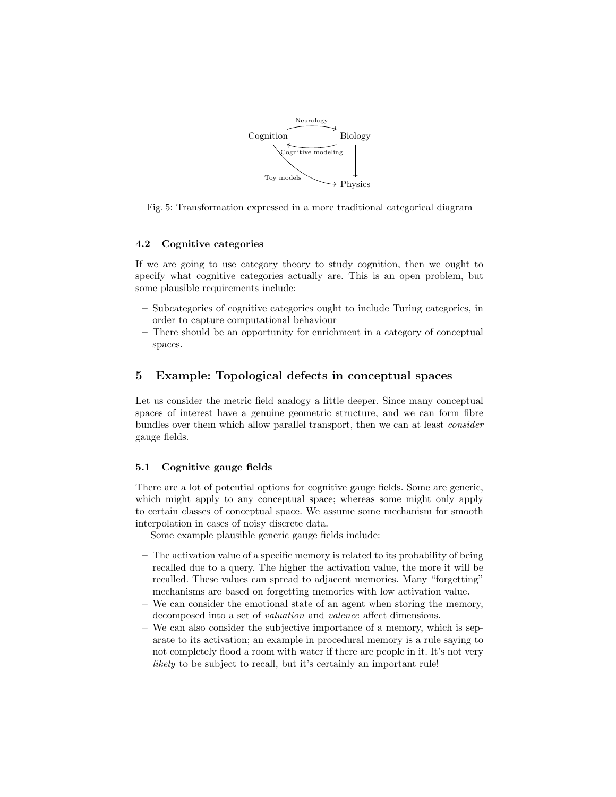

<span id="page-10-0"></span>Fig. 5: Transformation expressed in a more traditional categorical diagram

# 4.2 Cognitive categories

If we are going to use category theory to study cognition, then we ought to specify what cognitive categories actually are. This is an open problem, but some plausible requirements include:

- Subcategories of cognitive categories ought to include Turing categories, in order to capture computational behaviour
- There should be an opportunity for enrichment in a category of conceptual spaces.

# 5 Example: Topological defects in conceptual spaces

Let us consider the metric field analogy a little deeper. Since many conceptual spaces of interest have a genuine geometric structure, and we can form fibre bundles over them which allow parallel transport, then we can at least consider gauge fields.

# 5.1 Cognitive gauge fields

There are a lot of potential options for cognitive gauge fields. Some are generic, which might apply to any conceptual space; whereas some might only apply to certain classes of conceptual space. We assume some mechanism for smooth interpolation in cases of noisy discrete data.

Some example plausible generic gauge fields include:

- The activation value of a specific memory is related to its probability of being recalled due to a query. The higher the activation value, the more it will be recalled. These values can spread to adjacent memories. Many "forgetting" mechanisms are based on forgetting memories with low activation value.
- We can consider the emotional state of an agent when storing the memory, decomposed into a set of valuation and valence affect dimensions.
- We can also consider the subjective importance of a memory, which is separate to its activation; an example in procedural memory is a rule saying to not completely flood a room with water if there are people in it. It's not very likely to be subject to recall, but it's certainly an important rule!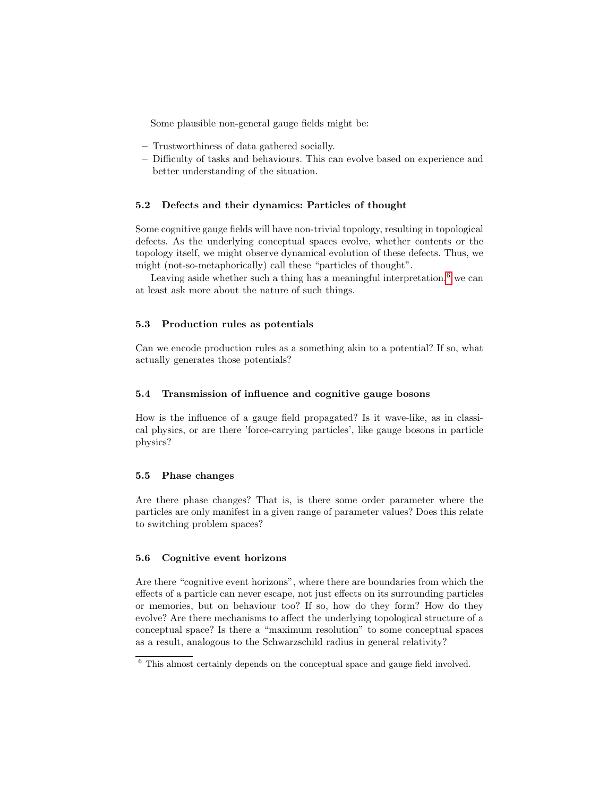Some plausible non-general gauge fields might be:

- Trustworthiness of data gathered socially.
- Difficulty of tasks and behaviours. This can evolve based on experience and better understanding of the situation.

# 5.2 Defects and their dynamics: Particles of thought

Some cognitive gauge fields will have non-trivial topology, resulting in topological defects. As the underlying conceptual spaces evolve, whether contents or the topology itself, we might observe dynamical evolution of these defects. Thus, we might (not-so-metaphorically) call these "particles of thought".

Leaving aside whether such a thing has a meaningful interpretation,  $6 \text{ we can}$  $6 \text{ we can}$ at least ask more about the nature of such things.

# 5.3 Production rules as potentials

Can we encode production rules as a something akin to a potential? If so, what actually generates those potentials?

## 5.4 Transmission of influence and cognitive gauge bosons

How is the influence of a gauge field propagated? Is it wave-like, as in classical physics, or are there 'force-carrying particles', like gauge bosons in particle physics?

# 5.5 Phase changes

Are there phase changes? That is, is there some order parameter where the particles are only manifest in a given range of parameter values? Does this relate to switching problem spaces?

## 5.6 Cognitive event horizons

Are there "cognitive event horizons", where there are boundaries from which the effects of a particle can never escape, not just effects on its surrounding particles or memories, but on behaviour too? If so, how do they form? How do they evolve? Are there mechanisms to affect the underlying topological structure of a conceptual space? Is there a "maximum resolution" to some conceptual spaces as a result, analogous to the Schwarzschild radius in general relativity?

<span id="page-11-0"></span><sup>6</sup> This almost certainly depends on the conceptual space and gauge field involved.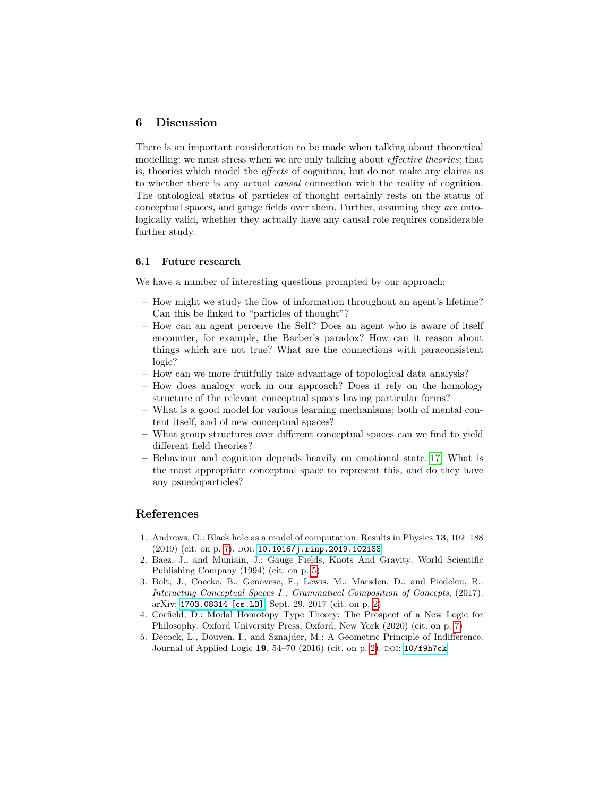# <span id="page-12-5"></span>6 Discussion

There is an important consideration to be made when talking about theoretical modelling: we must stress when we are only talking about *effective theories*; that is, theories which model the effects of cognition, but do not make any claims as to whether there is any actual causal connection with the reality of cognition. The ontological status of particles of thought certainly rests on the status of conceptual spaces, and gauge fields over them. Further, assuming they are ontologically valid, whether they actually have any causal role requires considerable further study.

# 6.1 Future research

We have a number of interesting questions prompted by our approach:

- How might we study the flow of information throughout an agent's lifetime? Can this be linked to "particles of thought"?
- How can an agent perceive the Self? Does an agent who is aware of itself encounter, for example, the Barber's paradox? How can it reason about things which are not true? What are the connections with paraconsistent logic?
- How can we more fruitfully take advantage of topological data analysis?
- How does analogy work in our approach? Does it rely on the homology structure of the relevant conceptual spaces having particular forms?
- What is a good model for various learning mechanisms; both of mental content itself, and of new conceptual spaces?
- What group structures over different conceptual spaces can we find to yield different field theories?
- Behaviour and cognition depends heavily on emotional state.[\[17\]](#page-13-16) What is the most appropriate conceptual space to represent this, and do they have any psuedoparticles?

# References

- <span id="page-12-4"></span>1. Andrews, G.: Black hole as a model of computation. Results in Physics 13, 102–188 (2019) (cit. on p. [7\)](#page-6-2). DOI: [10.1016/j.rinp.2019.102188](https://doi.org/10.1016/j.rinp.2019.102188)
- <span id="page-12-2"></span>2. Baez, J., and Muniain, J.: Gauge Fields, Knots And Gravity. World Scientific Publishing Company (1994) (cit. on p. [5\)](#page-4-1)
- <span id="page-12-0"></span>3. Bolt, J., Coecke, B., Genovese, F., Lewis, M., Marsden, D., and Piedeleu, R.: Interacting Conceptual Spaces I : Grammatical Composition of Concepts, (2017). arXiv: [1703.08314 \[cs.LO\]](https://arxiv.org/abs/1703.08314). Sept. 29, 2017 (cit. on p. [2\)](#page-1-0)
- <span id="page-12-3"></span>4. Corfield, D.: Modal Homotopy Type Theory: The Prospect of a New Logic for Philosophy. Oxford University Press, Oxford, New York (2020) (cit. on p. [7\)](#page-6-2)
- <span id="page-12-1"></span>5. Decock, L., Douven, I., and Sznajder, M.: A Geometric Principle of Indifference. Journal of Applied Logic 19, 54-70 (2016) (cit. on p. [2\)](#page-1-0). DOI: [10/f9h7ck](https://doi.org/10/f9h7ck)